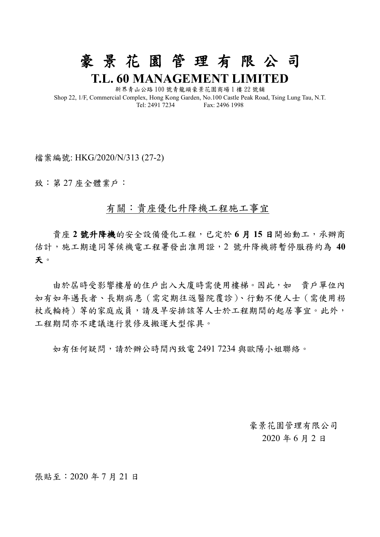**T.L. 60 MANAGEMENT LIMITED** 新界青山公路 100 號青龍頭豪景花園商場 1 樓 22 號舖 Shop 22, 1/F, Commercial Complex, Hong Kong Garden, No.100 Castle Peak Road, Tsing Lung Tau, N.T. Tel: 2491 7234 Fax: 2496 1998

豪 景 花 園 管 理 有 限 公 司

檔案編號: HKG/2020/N/313 (27-2)

致:第 27 座全體業戶:

## 有關:貴座優化升降機工程施工事宜

 貴座 **2** 號升降機的安全設備優化工程,已定於 **6** 月 **15** 日開始動工,承辦商 估計,施工期連同等候機電工程署發出准用證,2 號升降機將暫停服務約為 **40** 天。

由於屆時受影響樓層的住戶出入大廈時需使用樓梯。因此,如 貴戶單位內 如有如年邁長者、長期病患(需定期往返醫院覆診)、行動不便人士(需使用枴 杖或輪椅)等的家庭成員,請及早安排該等人士於工程期間的起居事宜。此外, 工程期間亦不建議進行裝修及搬運大型傢具。

如有任何疑問,請於辦公時間內致電 2491 7234 與歐陽小姐聯絡。

 豪景花園管理有限公司 2020 年 6 月 2 日

張貼至:2020 年 7 月 21 日